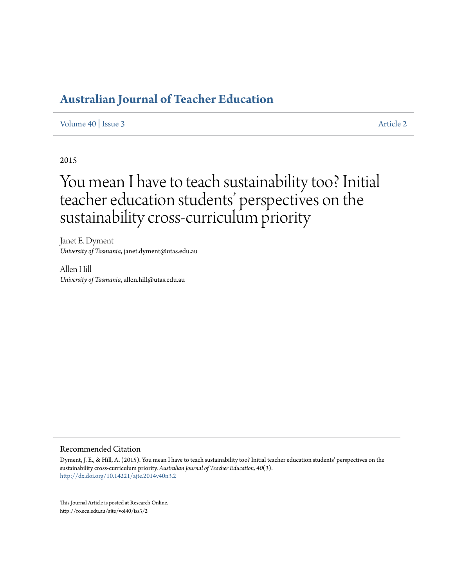# **[Australian Journal of Teacher Education](http://ro.ecu.edu.au/ajte)**

#### [Volume 40](http://ro.ecu.edu.au/ajte/vol40) | [Issue 3](http://ro.ecu.edu.au/ajte/vol40/iss3) [Article 2](http://ro.ecu.edu.au/ajte/vol40/iss3/2)

#### 2015

# You mean I have to teach sustainability too? Initial teacher education students' perspectives on the sustainability cross-curriculum priority

Janet E. Dyment *University of Tasmania*, janet.dyment@utas.edu.au

Allen Hill *University of Tasmania*, allen.hill@utas.edu.au

#### Recommended Citation

Dyment, J. E., & Hill, A. (2015). You mean I have to teach sustainability too? Initial teacher education students' perspectives on the sustainability cross-curriculum priority. *Australian Journal of Teacher Education, 40*(3). <http://dx.doi.org/10.14221/ajte.2014v40n3.2>

This Journal Article is posted at Research Online. http://ro.ecu.edu.au/ajte/vol40/iss3/2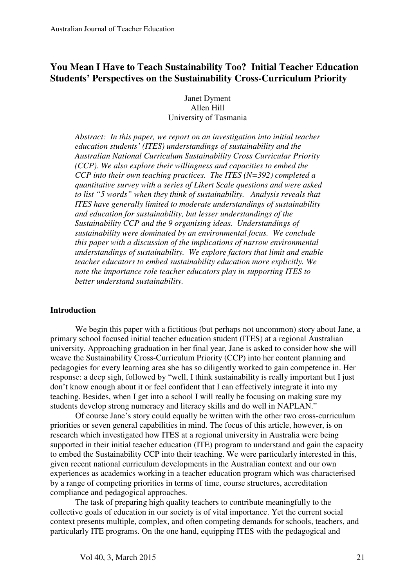# **You Mean I Have to Teach Sustainability Too? Initial Teacher Education Students' Perspectives on the Sustainability Cross-Curriculum Priority**

 Janet Dyment Allen Hill University of Tasmania

*Abstract: In this paper, we report on an investigation into initial teacher education students' (ITES) understandings of sustainability and the Australian National Curriculum Sustainability Cross Curricular Priority (CCP). We also explore their willingness and capacities to embed the CCP into their own teaching practices. The ITES (N=392) completed a quantitative survey with a series of Likert Scale questions and were asked to list "5 words" when they think of sustainability. Analysis reveals that ITES have generally limited to moderate understandings of sustainability and education for sustainability, but lesser understandings of the Sustainability CCP and the 9 organising ideas. Understandings of sustainability were dominated by an environmental focus. We conclude this paper with a discussion of the implications of narrow environmental understandings of sustainability. We explore factors that limit and enable teacher educators to embed sustainability education more explicitly. We note the importance role teacher educators play in supporting ITES to better understand sustainability.*

#### **Introduction**

We begin this paper with a fictitious (but perhaps not uncommon) story about Jane, a primary school focused initial teacher education student (ITES) at a regional Australian university. Approaching graduation in her final year, Jane is asked to consider how she will weave the Sustainability Cross-Curriculum Priority (CCP) into her content planning and pedagogies for every learning area she has so diligently worked to gain competence in. Her response: a deep sigh, followed by "well, I think sustainability is really important but I just don't know enough about it or feel confident that I can effectively integrate it into my teaching. Besides, when I get into a school I will really be focusing on making sure my students develop strong numeracy and literacy skills and do well in NAPLAN."

Of course Jane's story could equally be written with the other two cross-curriculum priorities or seven general capabilities in mind. The focus of this article, however, is on research which investigated how ITES at a regional university in Australia were being supported in their initial teacher education (ITE) program to understand and gain the capacity to embed the Sustainability CCP into their teaching. We were particularly interested in this, given recent national curriculum developments in the Australian context and our own experiences as academics working in a teacher education program which was characterised by a range of competing priorities in terms of time, course structures, accreditation compliance and pedagogical approaches.

The task of preparing high quality teachers to contribute meaningfully to the collective goals of education in our society is of vital importance. Yet the current social context presents multiple, complex, and often competing demands for schools, teachers, and particularly ITE programs. On the one hand, equipping ITES with the pedagogical and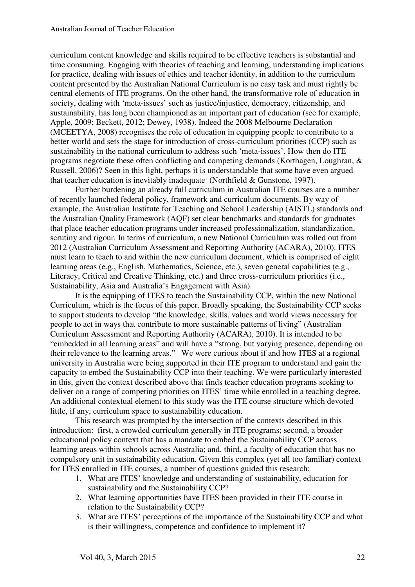curriculum content knowledge and skills required to be effective teachers is substantial and time consuming. Engaging with theories of teaching and learning, understanding implications for practice, dealing with issues of ethics and teacher identity, in addition to the curriculum content presented by the Australian National Curriculum is no easy task and must rightly be central elements of ITE programs. On the other hand, the transformative role of education in society, dealing with 'meta-issues' such as justice/injustice, democracy, citizenship, and sustainability, has long been championed as an important part of education (see for example, Apple, 2009; Beckett, 2012; Dewey, 1938). Indeed the 2008 Melbourne Declaration (MCEETYA, 2008) recognises the role of education in equipping people to contribute to a better world and sets the stage for introduction of cross-curriculum priorities (CCP) such as sustainability in the national curriculum to address such 'meta-issues'. How then do ITE programs negotiate these often conflicting and competing demands (Korthagen, Loughran, & Russell, 2006)? Seen in this light, perhaps it is understandable that some have even argued that teacher education is inevitably inadequate (Northfield & Gunstone, 1997).

Further burdening an already full curriculum in Australian ITE courses are a number of recently launched federal policy, framework and curriculum documents. By way of example, the Australian Institute for Teaching and School Leadership (AISTL) standards and the Australian Quality Framework (AQF) set clear benchmarks and standards for graduates that place teacher education programs under increased professionalization, standardization, scrutiny and rigour. In terms of curriculum, a new National Curriculum was rolled out from 2012 (Australian Curriculum Assessment and Reporting Authority (ACARA), 2010). ITES must learn to teach to and within the new curriculum document, which is comprised of eight learning areas (e.g., English, Mathematics, Science, etc.), seven general capabilities (e.g., Literacy, Critical and Creative Thinking, etc.) and three cross-curriculum priorities (i.e., Sustainability, Asia and Australia's Engagement with Asia).

It is the equipping of ITES to teach the Sustainability CCP, within the new National Curriculum, which is the focus of this paper. Broadly speaking, the Sustainability CCP seeks to support students to develop "the knowledge, skills, values and world views necessary for people to act in ways that contribute to more sustainable patterns of living" (Australian Curriculum Assessment and Reporting Authority (ACARA), 2010). It is intended to be "embedded in all learning areas" and will have a "strong, but varying presence, depending on their relevance to the learning areas." We were curious about if and how ITES at a regional university in Australia were being supported in their ITE program to understand and gain the capacity to embed the Sustainability CCP into their teaching. We were particularly interested in this, given the context described above that finds teacher education programs seeking to deliver on a range of competing priorities on ITES' time while enrolled in a teaching degree. An additional contextual element to this study was the ITE course structure which devoted little, if any, curriculum space to sustainability education.

This research was prompted by the intersection of the contexts described in this introduction: first, a crowded curriculum generally in ITE programs; second, a broader educational policy context that has a mandate to embed the Sustainability CCP across learning areas within schools across Australia; and, third, a faculty of education that has no compulsory unit in sustainability education. Given this complex (yet all too familiar) context for ITES enrolled in ITE courses, a number of questions guided this research:

- 1. What are ITES' knowledge and understanding of sustainability, education for sustainability and the Sustainability CCP?
- 2. What learning opportunities have ITES been provided in their ITE course in relation to the Sustainability CCP?
- 3. What are ITES' perceptions of the importance of the Sustainability CCP and what is their willingness, competence and confidence to implement it?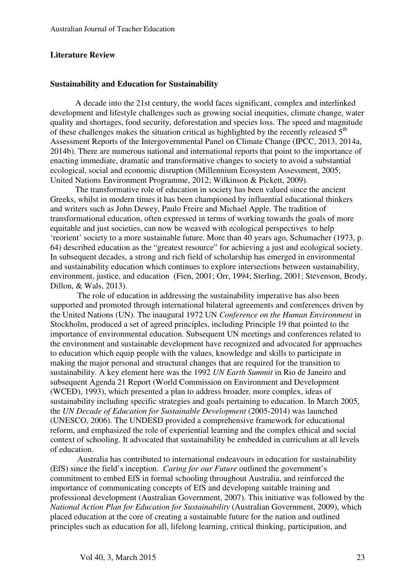#### **Literature Review**

#### **Sustainability and Education for Sustainability**

A decade into the 21st century, the world faces significant, complex and interlinked development and lifestyle challenges such as growing social inequities, climate change, water quality and shortages, food security, deforestation and species loss. The speed and magnitude of these challenges makes the situation critical as highlighted by the recently released  $5<sup>th</sup>$ Assessment Reports of the Intergovernmental Panel on Climate Change (IPCC, 2013, 2014a, 2014b). There are numerous national and international reports that point to the importance of enacting immediate, dramatic and transformative changes to society to avoid a substantial ecological, social and economic disruption (Millennium Ecosystem Assessment, 2005; United Nations Environment Programme, 2012; Wilkinson & Pickett, 2009).

The transformative role of education in society has been valued since the ancient Greeks, whilst in modern times it has been championed by influential educational thinkers and writers such as John Dewey, Paulo Freire and Michael Apple. The tradition of transformational education, often expressed in terms of working towards the goals of more equitable and just societies, can now be weaved with ecological perspectives to help 'reorient' society to a more sustainable future. More than 40 years ago, Schumacher (1973, p. 64) described education as the "greatest resource" for achieving a just and ecological society. In subsequent decades, a strong and rich field of scholarship has emerged in environmental and sustainability education which continues to explore intersections between sustainability, environment, justice, and education (Fien, 2001; Orr, 1994; Sterling, 2001; Stevenson, Brody, Dillon, & Wals, 2013).

 The role of education in addressing the sustainability imperative has also been supported and promoted through international bilateral agreements and conferences driven by the United Nations (UN). The inaugural 1972 UN *Conference on the Human Environment* in Stockholm, produced a set of agreed principles, including Principle 19 that pointed to the importance of environmental education. Subsequent UN meetings and conferences related to the environment and sustainable development have recognized and advocated for approaches to education which equip people with the values, knowledge and skills to participate in making the major personal and structural changes that are required for the transition to sustainability. A key element here was the 1992 *UN Earth Summit* in Rio de Janeiro and subsequent Agenda 21 Report (World Commission on Environment and Development (WCED), 1993), which presented a plan to address broader, more complex, ideas of sustainability including specific strategies and goals pertaining to education. In March 2005, the *UN Decade of Education for Sustainable Development* (2005-2014) was launched (UNESCO, 2006). The UNDESD provided a comprehensive framework for educational reform, and emphasized the role of experiential learning and the complex ethical and social context of schooling. It advocated that sustainability be embedded in curriculum at all levels of education.

 Australia has contributed to international endeavours in education for sustainability (EfS) since the field's inception. *Caring for our Future* outlined the government's commitment to embed EfS in formal schooling throughout Australia, and reinforced the importance of communicating concepts of EfS and developing suitable training and professional development (Australian Government, 2007). This initiative was followed by the *National Action Plan for Education for Sustainability* (Australian Government, 2009), which placed education at the core of creating a sustainable future for the nation and outlined principles such as education for all, lifelong learning, critical thinking, participation, and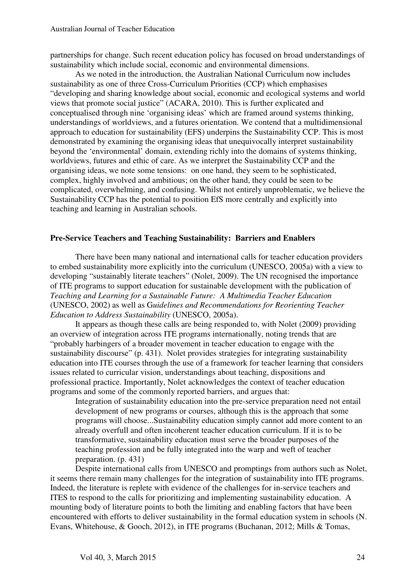partnerships for change. Such recent education policy has focused on broad understandings of sustainability which include social, economic and environmental dimensions.

As we noted in the introduction, the Australian National Curriculum now includes sustainability as one of three Cross-Curriculum Priorities (CCP) which emphasises "developing and sharing knowledge about social, economic and ecological systems and world views that promote social justice" (ACARA, 2010). This is further explicated and conceptualised through nine 'organising ideas' which are framed around systems thinking, understandings of worldviews, and a futures orientation. We contend that a multidimensional approach to education for sustainability (EFS) underpins the Sustainability CCP. This is most demonstrated by examining the organising ideas that unequivocally interpret sustainability beyond the 'environmental' domain, extending richly into the domains of systems thinking, worldviews, futures and ethic of care. As we interpret the Sustainability CCP and the organising ideas, we note some tensions: on one hand, they seem to be sophisticated, complex, highly involved and ambitious; on the other hand, they could be seen to be complicated, overwhelming, and confusing. Whilst not entirely unproblematic, we believe the Sustainability CCP has the potential to position EfS more centrally and explicitly into teaching and learning in Australian schools.

# **Pre-Service Teachers and Teaching Sustainability: Barriers and Enablers**

There have been many national and international calls for teacher education providers to embed sustainability more explicitly into the curriculum (UNESCO, 2005a) with a view to developing "sustainably literate teachers" (Nolet, 2009). The UN recognised the importance of ITE programs to support education for sustainable development with the publication of *Teaching and Learning for a Sustainable Future: A Multimedia Teacher Education* (UNESCO, 2002) as well as G*uidelines and Recommendations for Reorienting Teacher Education to Address Sustainability* (UNESCO, 2005a).

It appears as though these calls are being responded to, with Nolet (2009) providing an overview of integration across ITE programs internationally, noting trends that are "probably harbingers of a broader movement in teacher education to engage with the sustainability discourse" (p. 431). Nolet provides strategies for integrating sustainability education into ITE courses through the use of a framework for teacher learning that considers issues related to curricular vision, understandings about teaching, dispositions and professional practice. Importantly, Nolet acknowledges the context of teacher education programs and some of the commonly reported barriers, and argues that:

Integration of sustainability education into the pre-service preparation need not entail development of new programs or courses, although this is the approach that some programs will choose...Sustainability education simply cannot add more content to an already overfull and often incoherent teacher education curriculum. If it is to be transformative, sustainability education must serve the broader purposes of the teaching profession and be fully integrated into the warp and weft of teacher preparation. (p. 431)

Despite international calls from UNESCO and promptings from authors such as Nolet, it seems there remain many challenges for the integration of sustainability into ITE programs. Indeed, the literature is replete with evidence of the challenges for in-service teachers and ITES to respond to the calls for prioritizing and implementing sustainability education. A mounting body of literature points to both the limiting and enabling factors that have been encountered with efforts to deliver sustainability in the formal education system in schools (N. Evans, Whitehouse, & Gooch, 2012), in ITE programs (Buchanan, 2012; Mills & Tomas,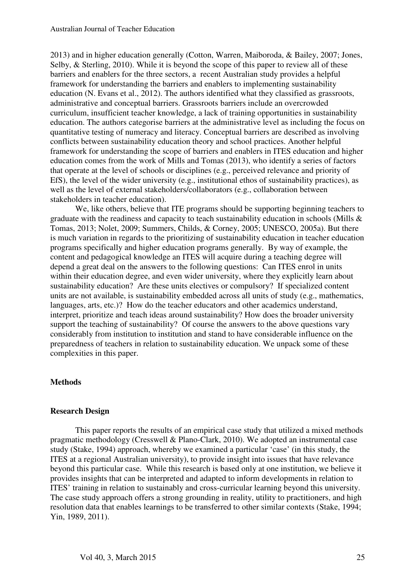2013) and in higher education generally (Cotton, Warren, Maiboroda, & Bailey, 2007; Jones, Selby, & Sterling, 2010). While it is beyond the scope of this paper to review all of these barriers and enablers for the three sectors, a recent Australian study provides a helpful framework for understanding the barriers and enablers to implementing sustainability education (N. Evans et al., 2012). The authors identified what they classified as grassroots, administrative and conceptual barriers. Grassroots barriers include an overcrowded curriculum, insufficient teacher knowledge, a lack of training opportunities in sustainability education. The authors categorise barriers at the administrative level as including the focus on quantitative testing of numeracy and literacy. Conceptual barriers are described as involving conflicts between sustainability education theory and school practices. Another helpful framework for understanding the scope of barriers and enablers in ITES education and higher education comes from the work of Mills and Tomas (2013), who identify a series of factors that operate at the level of schools or disciplines (e.g., perceived relevance and priority of EfS), the level of the wider university (e.g., institutional ethos of sustainability practices), as well as the level of external stakeholders/collaborators (e.g., collaboration between stakeholders in teacher education).

We, like others, believe that ITE programs should be supporting beginning teachers to graduate with the readiness and capacity to teach sustainability education in schools (Mills & Tomas, 2013; Nolet, 2009; Summers, Childs, & Corney, 2005; UNESCO, 2005a). But there is much variation in regards to the prioritizing of sustainability education in teacher education programs specifically and higher education programs generally. By way of example, the content and pedagogical knowledge an ITES will acquire during a teaching degree will depend a great deal on the answers to the following questions: Can ITES enrol in units within their education degree, and even wider university, where they explicitly learn about sustainability education? Are these units electives or compulsory? If specialized content units are not available, is sustainability embedded across all units of study (e.g., mathematics, languages, arts, etc.)? How do the teacher educators and other academics understand, interpret, prioritize and teach ideas around sustainability? How does the broader university support the teaching of sustainability? Of course the answers to the above questions vary considerably from institution to institution and stand to have considerable influence on the preparedness of teachers in relation to sustainability education. We unpack some of these complexities in this paper.

#### **Methods**

#### **Research Design**

This paper reports the results of an empirical case study that utilized a mixed methods pragmatic methodology (Cresswell & Plano-Clark, 2010). We adopted an instrumental case study (Stake, 1994) approach, whereby we examined a particular 'case' (in this study, the ITES at a regional Australian university), to provide insight into issues that have relevance beyond this particular case. While this research is based only at one institution, we believe it provides insights that can be interpreted and adapted to inform developments in relation to ITES' training in relation to sustainably and cross-curricular learning beyond this university. The case study approach offers a strong grounding in reality, utility to practitioners, and high resolution data that enables learnings to be transferred to other similar contexts (Stake, 1994; Yin, 1989, 2011).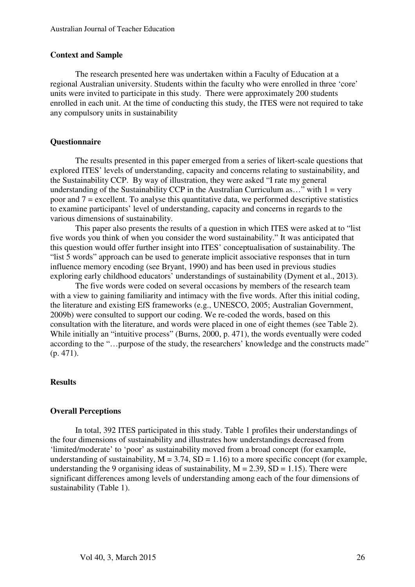#### **Context and Sample**

The research presented here was undertaken within a Faculty of Education at a regional Australian university. Students within the faculty who were enrolled in three 'core' units were invited to participate in this study. There were approximately 200 students enrolled in each unit. At the time of conducting this study, the ITES were not required to take any compulsory units in sustainability

### **Questionnaire**

The results presented in this paper emerged from a series of likert-scale questions that explored ITES' levels of understanding, capacity and concerns relating to sustainability, and the Sustainability CCP. By way of illustration, they were asked "I rate my general understanding of the Sustainability CCP in the Australian Curriculum as..." with  $1 = \text{very}$ poor and 7 = excellent. To analyse this quantitative data, we performed descriptive statistics to examine participants' level of understanding, capacity and concerns in regards to the various dimensions of sustainability.

This paper also presents the results of a question in which ITES were asked at to "list five words you think of when you consider the word sustainability." It was anticipated that this question would offer further insight into ITES' conceptualisation of sustainability. The "list 5 words" approach can be used to generate implicit associative responses that in turn influence memory encoding (see Bryant, 1990) and has been used in previous studies exploring early childhood educators' understandings of sustainability (Dyment et al., 2013).

The five words were coded on several occasions by members of the research team with a view to gaining familiarity and intimacy with the five words. After this initial coding, the literature and existing EfS frameworks (e.g., UNESCO, 2005; Australian Government, 2009b) were consulted to support our coding. We re-coded the words, based on this consultation with the literature, and words were placed in one of eight themes (see Table 2). While initially an "intuitive process" (Burns, 2000, p. 471), the words eventually were coded according to the "…purpose of the study, the researchers' knowledge and the constructs made" (p. 471).

#### **Results**

#### **Overall Perceptions**

In total, 392 ITES participated in this study. Table 1 profiles their understandings of the four dimensions of sustainability and illustrates how understandings decreased from 'limited/moderate' to 'poor' as sustainability moved from a broad concept (for example, understanding of sustainability,  $M = 3.74$ ,  $SD = 1.16$ ) to a more specific concept (for example, understanding the 9 organising ideas of sustainability,  $M = 2.39$ ,  $SD = 1.15$ ). There were significant differences among levels of understanding among each of the four dimensions of sustainability (Table 1).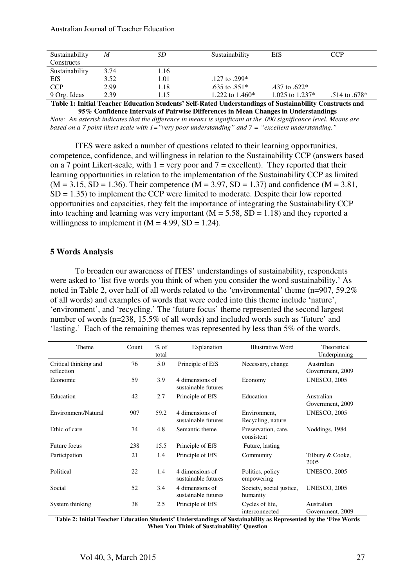| Sustainability | M    | SD   | Sustainability    | EfS               | <b>CCP</b>        |
|----------------|------|------|-------------------|-------------------|-------------------|
| Constructs     |      |      |                   |                   |                   |
| Sustainability | 3.74 | 1.16 |                   |                   |                   |
| EfS            | 3.52 | 1.01 | .127 to .299*     |                   |                   |
| <b>CCP</b>     | 2.99 | 1.18 | .635 to .851*     | .437 to .622*     |                   |
| 9 Org. Ideas   | 2.39 | l.15 | 1.222 to $1.460*$ | 1.025 to $1.237*$ | $.514$ to $.678*$ |

**Table 1: Initial Teacher Education Students' Self-Rated Understandings of Sustainability Constructs and 95% Confidence Intervals of Pairwise Differences in Mean Changes in Understandings** 

*Note: An asterisk indicates that the difference in means is significant at the .000 significance level. Means are based on a 7 point likert scale with 1="very poor understanding" and 7 = "excellent understanding."* 

ITES were asked a number of questions related to their learning opportunities, competence, confidence, and willingness in relation to the Sustainability CCP (answers based on a 7 point Likert-scale, with  $1 = \text{very poor and } 7 = \text{excellent}$ . They reported that their learning opportunities in relation to the implementation of the Sustainability CCP as limited  $(M = 3.15, SD = 1.36)$ . Their competence  $(M = 3.97, SD = 1.37)$  and confidence  $(M = 3.81,$  $SD = 1.35$ ) to implement the CCP were limited to moderate. Despite their low reported opportunities and capacities, they felt the importance of integrating the Sustainability CCP into teaching and learning was very important  $(M = 5.58, SD = 1.18)$  and they reported a willingness to implement it  $(M = 4.99, SD = 1.24)$ .

#### **5 Words Analysis**

To broaden our awareness of ITES' understandings of sustainability, respondents were asked to 'list five words you think of when you consider the word sustainability.' As noted in Table 2, over half of all words related to the 'environmental' theme (n=907, 59.2% of all words) and examples of words that were coded into this theme include 'nature', 'environment', and 'recycling.' The 'future focus' theme represented the second largest number of words (n=238, 15.5% of all words) and included words such as 'future' and 'lasting.' Each of the remaining themes was represented by less than 5% of the words.

| Theme                               | Count | $%$ of<br>total | Explanation                            | Illustrative Word                    | Theoretical<br>Underpinning    |
|-------------------------------------|-------|-----------------|----------------------------------------|--------------------------------------|--------------------------------|
| Critical thinking and<br>reflection | 76    | 5.0             | Principle of EfS                       | Necessary, change                    | Australian<br>Government, 2009 |
| Economic                            | 59    | 3.9             | 4 dimensions of<br>sustainable futures | Economy                              | <b>UNESCO, 2005</b>            |
| Education                           | 42    | 2.7             | Principle of EfS                       | Education                            | Australian<br>Government, 2009 |
| Environment/Natural                 | 907   | 59.2            | 4 dimensions of<br>sustainable futures | Environment,<br>Recycling, nature    | <b>UNESCO, 2005</b>            |
| Ethic of care                       | 74    | 4.8             | Semantic theme                         | Preservation, care,<br>consistent    | Noddings, 1984                 |
| Future focus                        | 238   | 15.5            | Principle of EfS                       | Future, lasting                      |                                |
| Participation                       | 21    | 1.4             | Principle of EfS                       | Community                            | Tilbury & Cooke,<br>2005       |
| Political                           | 22    | 1.4             | 4 dimensions of<br>sustainable futures | Politics, policy<br>empowering       | <b>UNESCO, 2005</b>            |
| Social                              | 52    | 3.4             | 4 dimensions of<br>sustainable futures | Society, social justice,<br>humanity | <b>UNESCO, 2005</b>            |
| System thinking                     | 38    | 2.5             | Principle of EfS                       | Cycles of life,<br>interconnected    | Australian<br>Government, 2009 |

**Table 2: Initial Teacher Education Students' Understandings of Sustainability as Represented by the 'Five Words When You Think of Sustainability' Question**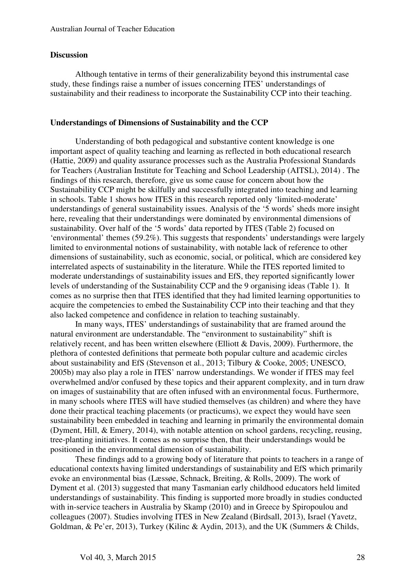### **Discussion**

Although tentative in terms of their generalizability beyond this instrumental case study, these findings raise a number of issues concerning ITES' understandings of sustainability and their readiness to incorporate the Sustainability CCP into their teaching.

# **Understandings of Dimensions of Sustainability and the CCP**

Understanding of both pedagogical and substantive content knowledge is one important aspect of quality teaching and learning as reflected in both educational research (Hattie, 2009) and quality assurance processes such as the Australia Professional Standards for Teachers (Australian Institute for Teaching and School Leadership (AITSL), 2014) . The findings of this research, therefore, give us some cause for concern about how the Sustainability CCP might be skilfully and successfully integrated into teaching and learning in schools. Table 1 shows how ITES in this research reported only 'limited-moderate' understandings of general sustainability issues. Analysis of the '5 words' sheds more insight here, revealing that their understandings were dominated by environmental dimensions of sustainability. Over half of the '5 words' data reported by ITES (Table 2) focused on 'environmental' themes (59.2%). This suggests that respondents' understandings were largely limited to environmental notions of sustainability, with notable lack of reference to other dimensions of sustainability, such as economic, social, or political, which are considered key interrelated aspects of sustainability in the literature. While the ITES reported limited to moderate understandings of sustainability issues and EfS, they reported significantly lower levels of understanding of the Sustainability CCP and the 9 organising ideas (Table 1). It comes as no surprise then that ITES identified that they had limited learning opportunities to acquire the competencies to embed the Sustainability CCP into their teaching and that they also lacked competence and confidence in relation to teaching sustainably.

In many ways, ITES' understandings of sustainability that are framed around the natural environment are understandable. The "environment to sustainability" shift is relatively recent, and has been written elsewhere (Elliott & Davis, 2009). Furthermore, the plethora of contested definitions that permeate both popular culture and academic circles about sustainability and EfS (Stevenson et al., 2013; Tilbury & Cooke, 2005; UNESCO, 2005b) may also play a role in ITES' narrow understandings. We wonder if ITES may feel overwhelmed and/or confused by these topics and their apparent complexity, and in turn draw on images of sustainability that are often infused with an environmental focus. Furthermore, in many schools where ITES will have studied themselves (as children) and where they have done their practical teaching placements (or practicums), we expect they would have seen sustainability been embedded in teaching and learning in primarily the environmental domain (Dyment, Hill, & Emery, 2014), with notable attention on school gardens, recycling, reusing, tree-planting initiatives. It comes as no surprise then, that their understandings would be positioned in the environmental dimension of sustainability.

These findings add to a growing body of literature that points to teachers in a range of educational contexts having limited understandings of sustainability and EfS which primarily evoke an environmental bias (Læssøe, Schnack, Breiting, & Rolls, 2009). The work of Dyment et al. (2013) suggested that many Tasmanian early childhood educators held limited understandings of sustainability. This finding is supported more broadly in studies conducted with in-service teachers in Australia by Skamp (2010) and in Greece by Spiropoulou and colleagues (2007). Studies involving ITES in New Zealand (Birdsall, 2013), Israel (Yavetz, Goldman, & Pe'er, 2013), Turkey (Kilinc & Aydin, 2013), and the UK (Summers & Childs,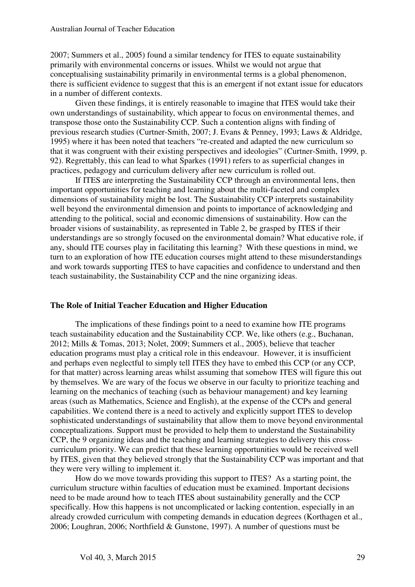2007; Summers et al., 2005) found a similar tendency for ITES to equate sustainability primarily with environmental concerns or issues. Whilst we would not argue that conceptualising sustainability primarily in environmental terms is a global phenomenon, there is sufficient evidence to suggest that this is an emergent if not extant issue for educators in a number of different contexts.

Given these findings, it is entirely reasonable to imagine that ITES would take their own understandings of sustainability, which appear to focus on environmental themes, and transpose those onto the Sustainability CCP. Such a contention aligns with finding of previous research studies (Curtner-Smith, 2007; J. Evans & Penney, 1993; Laws & Aldridge, 1995) where it has been noted that teachers "re-created and adapted the new curriculum so that it was congruent with their existing perspectives and ideologies" (Curtner-Smith, 1999, p. 92). Regrettably, this can lead to what Sparkes (1991) refers to as superficial changes in practices, pedagogy and curriculum delivery after new curriculum is rolled out.

 If ITES are interpreting the Sustainability CCP through an environmental lens, then important opportunities for teaching and learning about the multi-faceted and complex dimensions of sustainability might be lost. The Sustainability CCP interprets sustainability well beyond the environmental dimension and points to importance of acknowledging and attending to the political, social and economic dimensions of sustainability. How can the broader visions of sustainability, as represented in Table 2, be grasped by ITES if their understandings are so strongly focused on the environmental domain? What educative role, if any, should ITE courses play in facilitating this learning? With these questions in mind, we turn to an exploration of how ITE education courses might attend to these misunderstandings and work towards supporting ITES to have capacities and confidence to understand and then teach sustainability, the Sustainability CCP and the nine organizing ideas.

#### **The Role of Initial Teacher Education and Higher Education**

The implications of these findings point to a need to examine how ITE programs teach sustainability education and the Sustainability CCP. We, like others (e.g., Buchanan, 2012; Mills & Tomas, 2013; Nolet, 2009; Summers et al., 2005), believe that teacher education programs must play a critical role in this endeavour. However, it is insufficient and perhaps even neglectful to simply tell ITES they have to embed this CCP (or any CCP, for that matter) across learning areas whilst assuming that somehow ITES will figure this out by themselves. We are wary of the focus we observe in our faculty to prioritize teaching and learning on the mechanics of teaching (such as behaviour management) and key learning areas (such as Mathematics, Science and English), at the expense of the CCPs and general capabilities. We contend there is a need to actively and explicitly support ITES to develop sophisticated understandings of sustainability that allow them to move beyond environmental conceptualizations. Support must be provided to help them to understand the Sustainability CCP, the 9 organizing ideas and the teaching and learning strategies to delivery this crosscurriculum priority. We can predict that these learning opportunities would be received well by ITES, given that they believed strongly that the Sustainability CCP was important and that they were very willing to implement it.

How do we move towards providing this support to ITES? As a starting point, the curriculum structure within faculties of education must be examined. Important decisions need to be made around how to teach ITES about sustainability generally and the CCP specifically. How this happens is not uncomplicated or lacking contention, especially in an already crowded curriculum with competing demands in education degrees (Korthagen et al., 2006; Loughran, 2006; Northfield & Gunstone, 1997). A number of questions must be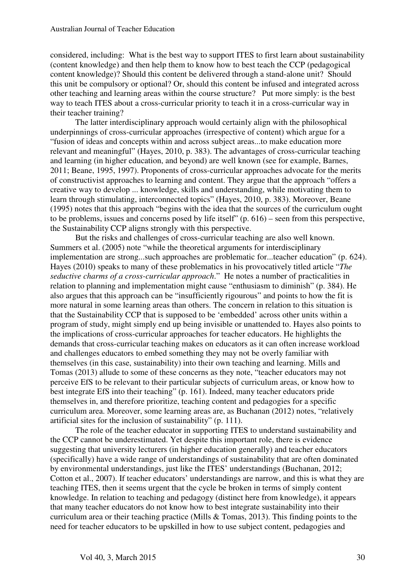considered, including: What is the best way to support ITES to first learn about sustainability (content knowledge) and then help them to know how to best teach the CCP (pedagogical content knowledge)? Should this content be delivered through a stand-alone unit? Should this unit be compulsory or optional? Or, should this content be infused and integrated across other teaching and learning areas within the course structure? Put more simply: is the best way to teach ITES about a cross-curricular priority to teach it in a cross-curricular way in their teacher training?

The latter interdisciplinary approach would certainly align with the philosophical underpinnings of cross-curricular approaches (irrespective of content) which argue for a "fusion of ideas and concepts within and across subject areas...to make education more relevant and meaningful" (Hayes, 2010, p. 383). The advantages of cross-curricular teaching and learning (in higher education, and beyond) are well known (see for example, Barnes, 2011; Beane, 1995, 1997). Proponents of cross-curricular approaches advocate for the merits of constructivist approaches to learning and content. They argue that the approach "offers a creative way to develop ... knowledge, skills and understanding, while motivating them to learn through stimulating, interconnected topics" (Hayes, 2010, p. 383). Moreover, Beane (1995) notes that this approach "begins with the idea that the sources of the curriculum ought to be problems, issues and concerns posed by life itself" (p. 616) – seen from this perspective, the Sustainability CCP aligns strongly with this perspective.

But the risks and challenges of cross-curricular teaching are also well known. Summers et al. (2005) note "while the theoretical arguments for interdisciplinary implementation are strong...such approaches are problematic for...teacher education" (p. 624). Hayes (2010) speaks to many of these problematics in his provocatively titled article "*The seductive charms of a cross-curricular approach*." He notes a number of practicalities in relation to planning and implementation might cause "enthusiasm to diminish" (p. 384). He also argues that this approach can be "insufficiently rigourous" and points to how the fit is more natural in some learning areas than others. The concern in relation to this situation is that the Sustainability CCP that is supposed to be 'embedded' across other units within a program of study, might simply end up being invisible or unattended to. Hayes also points to the implications of cross-curricular approaches for teacher educators. He highlights the demands that cross-curricular teaching makes on educators as it can often increase workload and challenges educators to embed something they may not be overly familiar with themselves (in this case, sustainability) into their own teaching and learning. Mills and Tomas (2013) allude to some of these concerns as they note, "teacher educators may not perceive EfS to be relevant to their particular subjects of curriculum areas, or know how to best integrate EfS into their teaching" (p. 161). Indeed, many teacher educators pride themselves in, and therefore prioritize, teaching content and pedagogies for a specific curriculum area. Moreover, some learning areas are, as Buchanan (2012) notes, "relatively artificial sites for the inclusion of sustainability" (p. 111).

The role of the teacher educator in supporting ITES to understand sustainability and the CCP cannot be underestimated. Yet despite this important role, there is evidence suggesting that university lecturers (in higher education generally) and teacher educators (specifically) have a wide range of understandings of sustainability that are often dominated by environmental understandings, just like the ITES' understandings (Buchanan, 2012; Cotton et al., 2007). If teacher educators' understandings are narrow, and this is what they are teaching ITES, then it seems urgent that the cycle be broken in terms of simply content knowledge. In relation to teaching and pedagogy (distinct here from knowledge), it appears that many teacher educators do not know how to best integrate sustainability into their curriculum area or their teaching practice (Mills & Tomas, 2013). This finding points to the need for teacher educators to be upskilled in how to use subject content, pedagogies and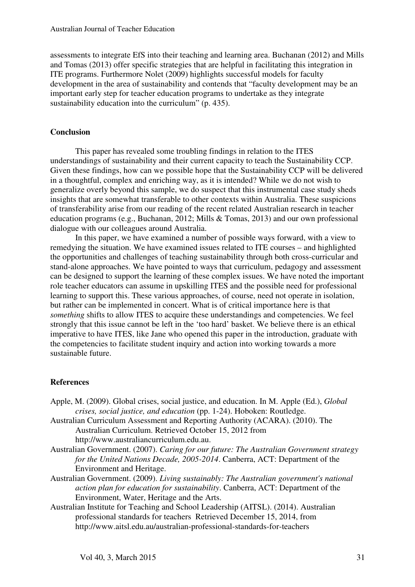assessments to integrate EfS into their teaching and learning area. Buchanan (2012) and Mills and Tomas (2013) offer specific strategies that are helpful in facilitating this integration in ITE programs. Furthermore Nolet (2009) highlights successful models for faculty development in the area of sustainability and contends that "faculty development may be an important early step for teacher education programs to undertake as they integrate sustainability education into the curriculum" (p. 435).

# **Conclusion**

This paper has revealed some troubling findings in relation to the ITES understandings of sustainability and their current capacity to teach the Sustainability CCP. Given these findings, how can we possible hope that the Sustainability CCP will be delivered in a thoughtful, complex and enriching way, as it is intended? While we do not wish to generalize overly beyond this sample, we do suspect that this instrumental case study sheds insights that are somewhat transferable to other contexts within Australia. These suspicions of transferability arise from our reading of the recent related Australian research in teacher education programs (e.g., Buchanan, 2012; Mills & Tomas, 2013) and our own professional dialogue with our colleagues around Australia.

In this paper, we have examined a number of possible ways forward, with a view to remedying the situation. We have examined issues related to ITE courses – and highlighted the opportunities and challenges of teaching sustainability through both cross-curricular and stand-alone approaches. We have pointed to ways that curriculum, pedagogy and assessment can be designed to support the learning of these complex issues. We have noted the important role teacher educators can assume in upskilling ITES and the possible need for professional learning to support this. These various approaches, of course, need not operate in isolation, but rather can be implemented in concert. What is of critical importance here is that *something* shifts to allow ITES to acquire these understandings and competencies. We feel strongly that this issue cannot be left in the 'too hard' basket. We believe there is an ethical imperative to have ITES, like Jane who opened this paper in the introduction, graduate with the competencies to facilitate student inquiry and action into working towards a more sustainable future.

# **References**

- Apple, M. (2009). Global crises, social justice, and education. In M. Apple (Ed.), *Global crises, social justice, and education* (pp. 1-24). Hoboken: Routledge.
- Australian Curriculum Assessment and Reporting Authority (ACARA). (2010). The Australian Curriculum. Retrieved October 15, 2012 from http://www.australiancurriculum.edu.au.
- Australian Government. (2007). *Caring for our future: The Australian Government strategy for the United Nations Decade, 2005-2014*. Canberra, ACT: Department of the Environment and Heritage.
- Australian Government. (2009). *Living sustainably: The Australian government's national action plan for education for sustainability*. Canberra, ACT: Department of the Environment, Water, Heritage and the Arts.
- Australian Institute for Teaching and School Leadership (AITSL). (2014). Australian professional standards for teachers Retrieved December 15, 2014, from http://www.aitsl.edu.au/australian-professional-standards-for-teachers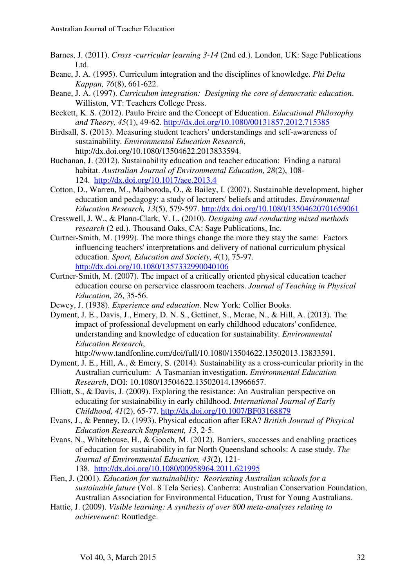- Barnes, J. (2011). *Cross -curricular learning 3-14* (2nd ed.). London, UK: Sage Publications Ltd.
- Beane, J. A. (1995). Curriculum integration and the disciplines of knowledge. *Phi Delta Kappan, 76*(8), 661-622.
- Beane, J. A. (1997). *Curriculum integration: Designing the core of democratic education*. Williston, VT: Teachers College Press.
- Beckett, K. S. (2012). Paulo Freire and the Concept of Education. *Educational Philosophy and Theory, 45*(1), 49-62. http://dx.doi.org/10.1080/00131857.2012.715385
- Birdsall, S. (2013). Measuring student teachers' understandings and self-awareness of sustainability. *Environmental Education Research*, http://dx.doi.org/10.1080/13504622.2013833594.
- Buchanan, J. (2012). Sustainability education and teacher education: Finding a natural habitat. *Australian Journal of Environmental Education, 28*(2), 108- 124. http://dx.doi.org/10.1017/aee.2013.4
- Cotton, D., Warren, M., Maiboroda, O., & Bailey, I. (2007). Sustainable development, higher education and pedagogy: a study of lecturers' beliefs and attitudes. *Environmental Education Research, 13*(5), 579-597. http://dx.doi.org/10.1080/13504620701659061
- Cresswell, J. W., & Plano-Clark, V. L. (2010). *Designing and conducting mixed methods research* (2 ed.). Thousand Oaks, CA: Sage Publications, Inc.
- Curtner-Smith, M. (1999). The more things change the more they stay the same: Factors influencing teachers' interpretations and delivery of national curriculum physical education. *Sport, Education and Society, 4*(1), 75-97. http://dx.doi.org/10.1080/1357332990040106
- Curtner-Smith, M. (2007). The impact of a critically oriented physical education teacher education course on perservice classroom teachers. *Journal of Teaching in Physical Education, 26*, 35-56.
- Dewey, J. (1938). *Experience and education*. New York: Collier Books.
- Dyment, J. E., Davis, J., Emery, D. N. S., Gettinet, S., Mcrae, N., & Hill, A. (2013). The impact of professional development on early childhood educators' confidence, understanding and knowledge of education for sustainability. *Environmental Education Research*,

http://www.tandfonline.com/doi/full/10.1080/13504622.13502013.13833591.

- Dyment, J. E., Hill, A., & Emery, S. (2014). Sustainability as a cross-curricular priority in the Australian curriculum: A Tasmanian investigation. *Environmental Education Research*, DOI: 10.1080/13504622.13502014.13966657.
- Elliott, S., & Davis, J. (2009). Exploring the resistance: An Australian perspective on educating for sustainability in early childhood. *International Journal of Early Childhood, 41*(2), 65-77. http://dx.doi.org/10.1007/BF03168879
- Evans, J., & Penney, D. (1993). Physical education after ERA? *British Journal of Phsyical Education Research Supplement, 13*, 2-5.
- Evans, N., Whitehouse, H., & Gooch, M. (2012). Barriers, successes and enabling practices of education for sustainability in far North Queensland schools: A case study. *The Journal of Environmental Education, 43*(2), 121- 138. http://dx.doi.org/10.1080/00958964.2011.621995
- Fien, J. (2001). *Education for sustainability: Reorienting Australian schools for a sustainable future* (Vol. 8 Tela Series). Canberra: Australian Conservation Foundation, Australian Association for Environmental Education, Trust for Young Australians.
- Hattie, J. (2009). *Visible learning: A synthesis of over 800 meta-analyses relating to achievement*: Routledge.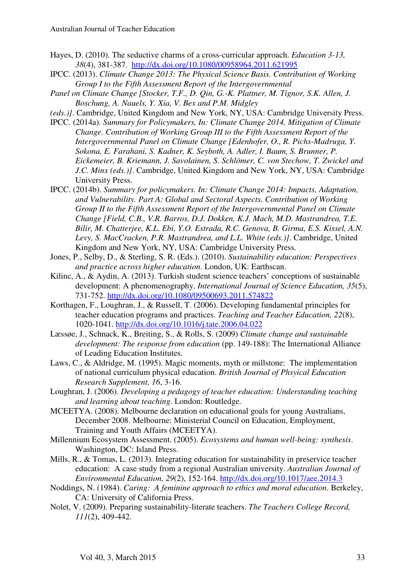- Hayes, D. (2010). The seductive charms of a cross-curricular approach. *Education 3-13, 38*(4), 381-387. http://dx.doi.org/10.1080/00958964.2011.621995
- IPCC. (2013). *Climate Change 2013: The Physical Science Basis. Contribution of Working Group I to the Fifth Assessment Report of the Intergovernmental*
- *Panel on Climate Change [Stocker, T.F., D. Qin, G.-K. Plattner, M. Tignor, S.K. Allen, J. Boschung, A. Nauels, Y. Xia, V. Bex and P.M. Midgley*
- *(eds.)]*. Cambridge, United Kingdom and New York, NY, USA: Cambridge University Press.
- IPCC. (2014a). *Summary for Policymakers, In: Climate Change 2014, Mitigation of Climate Change. Contribution of Working Group III to the Fifth Assessment Report of the Intergovernmental Panel on Climate Change [Edenhofer, O., R. Pichs-Madruga, Y. Sokona, E. Farahani, S. Kadner, K. Seyboth, A. Adler, I. Baum, S. Brunner, P. Eickemeier, B. Kriemann, J. Savolainen, S. Schlömer, C. von Stechow, T. Zwickel and J.C. Minx (eds.)]*. Cambridge, United Kingdom and New York, NY, USA: Cambridge University Press.
- IPCC. (2014b). *Summary for policymakers. In: Climate Change 2014: Impacts, Adaptation, and Vulnerability. Part A: Global and Sectoral Aspects. Contribution of Working Group II to the Fifth Assessment Report of the Intergovernmental Panel on Climate Change [Field, C.B., V.R. Barros, D.J. Dokken, K.J. Mach, M.D. Mastrandrea, T.E. Bilir, M. Chatterjee, K.L. Ebi, Y.O. Estrada, R.C. Genova, B. Girma, E.S. Kissel, A.N. Levy, S. MacCracken, P.R. Mastrandrea, and L.L. White (eds.)]*. Cambridge, United Kingdom and New York, NY, USA: Cambridge University Press.
- Jones, P., Selby, D., & Sterling, S. R. (Eds.). (2010). *Sustainability education: Perspectives and practice across higher education*. London, UK: Earthscan.
- Kilinc, A., & Aydin, A. (2013). Turkish student science teachers' conceptions of sustainable development: A phenomenography. *International Journal of Science Education, 35*(5), 731-752. http://dx.doi.org/10.1080/09500693.2011.574822
- Korthagen, F., Loughran, J., & Russell, T. (2006). Developing fundamental principles for teacher education programs and practices. *Teaching and Teacher Education, 22*(8), 1020-1041. http://dx.doi.org/10.1016/j.tate.2006.04.022
- Læssøe, J., Schnack, K., Breiting, S., & Rolls, S. (2009) *Climate change and sustainable development: The response from education* (pp. 149-188): The International Alliance of Leading Education Institutes.
- Laws, C., & Aldridge, M. (1995). Magic moments, myth or millstone: The implementation of national curriculum physical education. *British Journal of Phsyical Education Research Supplement, 16*, 3-16.
- Loughran, J. (2006). *Developing a pedagogy of teacher education: Understanding teaching and learning about teaching*. London: Routledge.
- MCEETYA. (2008). Melbourne declaration on educational goals for young Australians, December 2008. Melbourne: Ministerial Council on Education, Employment, Training and Youth Affairs (MCEETYA).
- Millennium Ecosystem Assessment. (2005). *Ecosystems and human well-being: synthesis*. Washington, DC: Island Press.
- Mills, R., & Tomas, L. (2013). Integrating education for sustainability in preservice teacher education: A case study from a regional Australian university. *Australian Journal of Environmental Education, 29*(2), 152-164. http://dx.doi.org/10.1017/aee.2014.3
- Noddings, N. (1984). *Caring: A feminine approach to ethics and moral education*. Berkeley, CA: University of California Press.
- Nolet, V. (2009). Preparing sustainability-literate teachers. *The Teachers College Record, 111*(2), 409-442.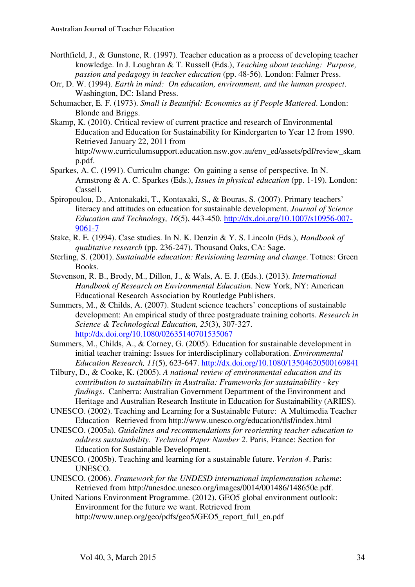- Northfield, J., & Gunstone, R. (1997). Teacher education as a process of developing teacher knowledge. In J. Loughran & T. Russell (Eds.), *Teaching about teaching: Purpose, passion and pedagogy in teacher education* (pp. 48-56). London: Falmer Press.
- Orr, D. W. (1994). *Earth in mind: On education, environment, and the human prospect*. Washington, DC: Island Press.
- Schumacher, E. F. (1973). *Small is Beautiful: Economics as if People Mattered*. London: Blonde and Briggs.
- Skamp, K. (2010). Critical review of current practice and research of Environmental Education and Education for Sustainability for Kindergarten to Year 12 from 1990. Retrieved January 22, 2011 from http://www.curriculumsupport.education.nsw.gov.au/env\_ed/assets/pdf/review\_skam p.pdf.
- Sparkes, A. C. (1991). Curriculm change: On gaining a sense of perspective. In N. Armstrong & A. C. Sparkes (Eds.), *Issues in physical education* (pp. 1-19). London: Cassell.
- Spiropoulou, D., Antonakaki, T., Kontaxaki, S., & Bouras, S. (2007). Primary teachers' literacy and attitudes on education for sustainable development. *Journal of Science Education and Technology, 16*(5), 443-450. http://dx.doi.org/10.1007/s10956-007- 9061-7
- Stake, R. E. (1994). Case studies. In N. K. Denzin & Y. S. Lincoln (Eds.), *Handbook of qualitative research* (pp. 236-247). Thousand Oaks, CA: Sage.
- Sterling, S. (2001). *Sustainable education: Revisioning learning and change*. Totnes: Green Books.
- Stevenson, R. B., Brody, M., Dillon, J., & Wals, A. E. J. (Eds.). (2013). *International Handbook of Research on Environmental Education*. New York, NY: American Educational Research Association by Routledge Publishers.
- Summers, M., & Childs, A. (2007). Student science teachers' conceptions of sustainable development: An empirical study of three postgraduate training cohorts. *Research in Science & Technological Education, 25*(3), 307-327. http://dx.doi.org/10.1080/02635140701535067
- Summers, M., Childs, A., & Corney, G. (2005). Education for sustainable development in initial teacher training: Issues for interdisciplinary collaboration. *Environmental Education Research, 11*(5), 623-647. http://dx.doi.org/10.1080/13504620500169841
- Tilbury, D., & Cooke, K. (2005). *A national review of environmental education and its contribution to sustainability in Australia: Frameworks for sustainability - key findings*. Canberra: Australian Government Department of the Environment and Heritage and Australian Research Institute in Education for Sustainability (ARIES).
- UNESCO. (2002). Teaching and Learning for a Sustainable Future: A Multimedia Teacher Education Retrieved from http://www.unesco.org/education/tlsf/index.html
- UNESCO. (2005a). *Guidelines and recommendations for reorienting teacher education to address sustainability. Technical Paper Number 2*. Paris, France: Section for Education for Sustainable Development.
- UNESCO. (2005b). Teaching and learning for a sustainable future. *Version 4*. Paris: UNESCO.
- UNESCO. (2006). *Framework for the UNDESD international implementation scheme*: Retrieved from http://unesdoc.unesco.org/images/0014/001486/148650e.pdf.
- United Nations Environment Programme. (2012). GEO5 global environment outlook: Environment for the future we want. Retrieved from http://www.unep.org/geo/pdfs/geo5/GEO5\_report\_full\_en.pdf